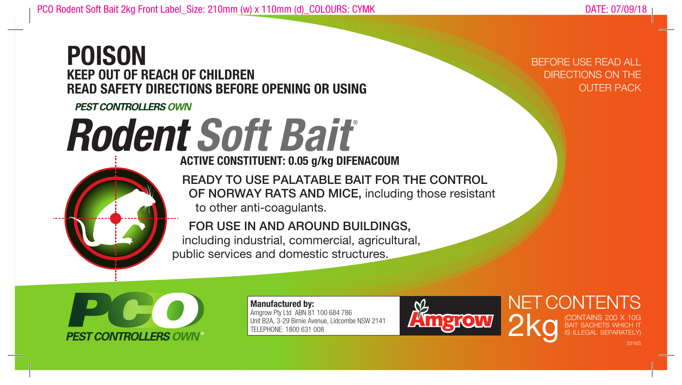## **POISON KEEP OUT OF REACH OF CHILDREN READ SAFETY DIRECTIONS BEFORE OPENING OR USING**

**PEST CONTROLLERS OWN** 

## **Rodent Soft Bait®**

**ACTIVE CONSTITUENT: 0.05 g/kg DIFENACOUM**

 READY TO USE PALATABLE BAIT FOR THE CONTROL OF NORWAY RATS AND MICE, including those resistant to other anti-coagulants.

 FOR USE IN AND AROUND BUILDINGS, including industrial, commercial, agricultural, public services and domestic structures.



**Manufactured by:**  Amgrow Pty Ltd ABN 81 100 684 786 Unit B2A, 3-29 Birnie Avenue, Lidcombe NSW 2141 TELEPHONE: 1800 631 008



BEFORE USE READ ALL DIRECTIONS ON THE OUTER PACK

NET CONTENTS

**2kg** (CONTAINS 200 X 10G)<br>IS ILLEGAL SEPARATELY)

BAIT SACHETS WHICH IT IS ILLEGAL SEPARATELY)